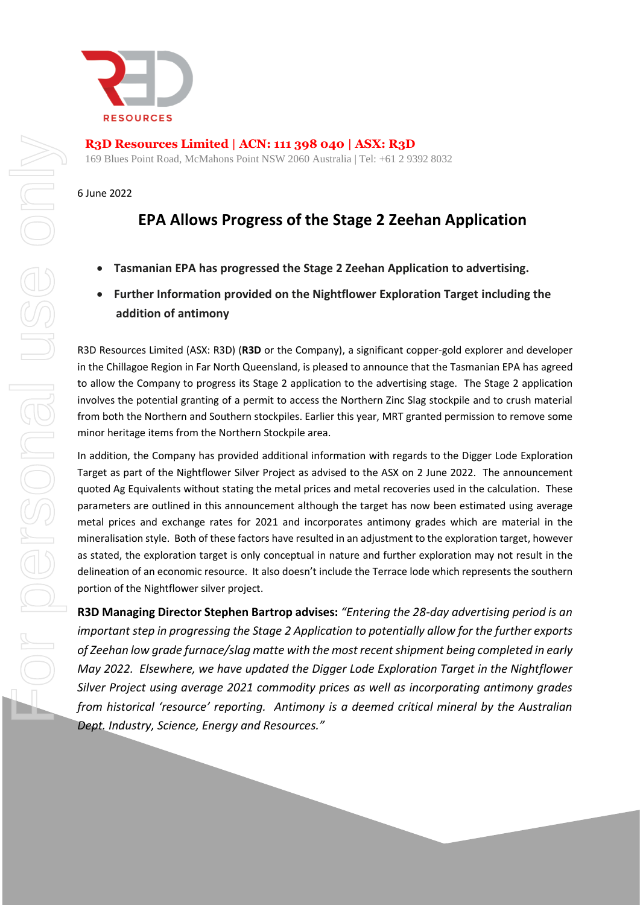

**R3D Resources Limited | ACN: 111 398 040 | ASX: R3D**

169 Blues Point Road, McMahons Point NSW 2060 Australia | Tel: +61 2 9392 8032

6 June 2022

## **EPA Allows Progress of the Stage 2 Zeehan Application**

- **Tasmanian EPA has progressed the Stage 2 Zeehan Application to advertising.**
- **Further Information provided on the Nightflower Exploration Target including the addition of antimony**

R3D Resources Limited (ASX: R3D) (**R3D** or the Company), a significant copper-gold explorer and developer in the Chillagoe Region in Far North Queensland, is pleased to announce that the Tasmanian EPA has agreed to allow the Company to progress its Stage 2 application to the advertising stage. The Stage 2 application involves the potential granting of a permit to access the Northern Zinc Slag stockpile and to crush material from both the Northern and Southern stockpiles. Earlier this year, MRT granted permission to remove some minor heritage items from the Northern Stockpile area.

In addition, the Company has provided additional information with regards to the Digger Lode Exploration Target as part of the Nightflower Silver Project as advised to the ASX on 2 June 2022. The announcement quoted Ag Equivalents without stating the metal prices and metal recoveries used in the calculation. These parameters are outlined in this announcement although the target has now been estimated using average metal prices and exchange rates for 2021 and incorporates antimony grades which are material in the mineralisation style. Both of these factors have resulted in an adjustment to the exploration target, however as stated, the exploration target is only conceptual in nature and further exploration may not result in the delineation of an economic resource. It also doesn't include the Terrace lode which represents the southern portion of the Nightflower silver project.

**R3D Managing Director Stephen Bartrop advises:** *"Entering the 28-day advertising period is an important step in progressing the Stage 2 Application to potentially allow for the further exports of Zeehan low grade furnace/slag matte with the most recent shipment being completed in early May 2022. Elsewhere, we have updated the Digger Lode Exploration Target in the Nightflower Silver Project using average 2021 commodity prices as well as incorporating antimony grades from historical 'resource' reporting. Antimony is a deemed critical mineral by the Australian Dept. Industry, Science, Energy and Resources."*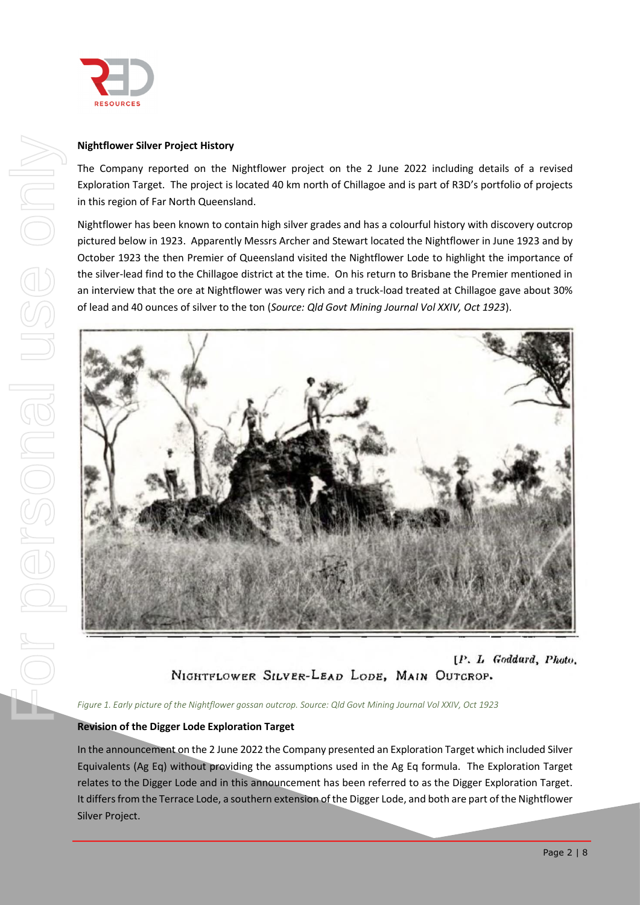

#### **Nightflower Silver Project History**

The Company reported on the Nightflower project on the 2 June 2022 including details of a revised Exploration Target. The project is located 40 km north of Chillagoe and is part of R3D's portfolio of projects in this region of Far North Queensland.

Nightflower has been known to contain high silver grades and has a colourful history with discovery outcrop pictured below in 1923. Apparently Messrs Archer and Stewart located the Nightflower in June 1923 and by October 1923 the then Premier of Queensland visited the Nightflower Lode to highlight the importance of the silver-lead find to the Chillagoe district at the time. On his return to Brisbane the Premier mentioned in an interview that the ore at Nightflower was very rich and a truck-load treated at Chillagoe gave about 30% of lead and 40 ounces of silver to the ton (*Source: Qld Govt Mining Journal Vol XXIV, Oct 1923*).



[P. L. Goddard, Photo, NIGHTFLOWER SILVER-LEAD LODE, MAIN OUTCROP.

*Figure 1. Early picture of the Nightflower gossan outcrop. Source: Qld Govt Mining Journal Vol XXIV, Oct 1923*

#### **Revision of the Digger Lode Exploration Target**

In the announcement on the 2 June 2022 the Company presented an Exploration Target which included Silver Equivalents (Ag Eq) without providing the assumptions used in the Ag Eq formula. The Exploration Target relates to the Digger Lode and in this announcement has been referred to as the Digger Exploration Target. It differs from the Terrace Lode, a southern extension of the Digger Lode, and both are part of the Nightflower Silver Project.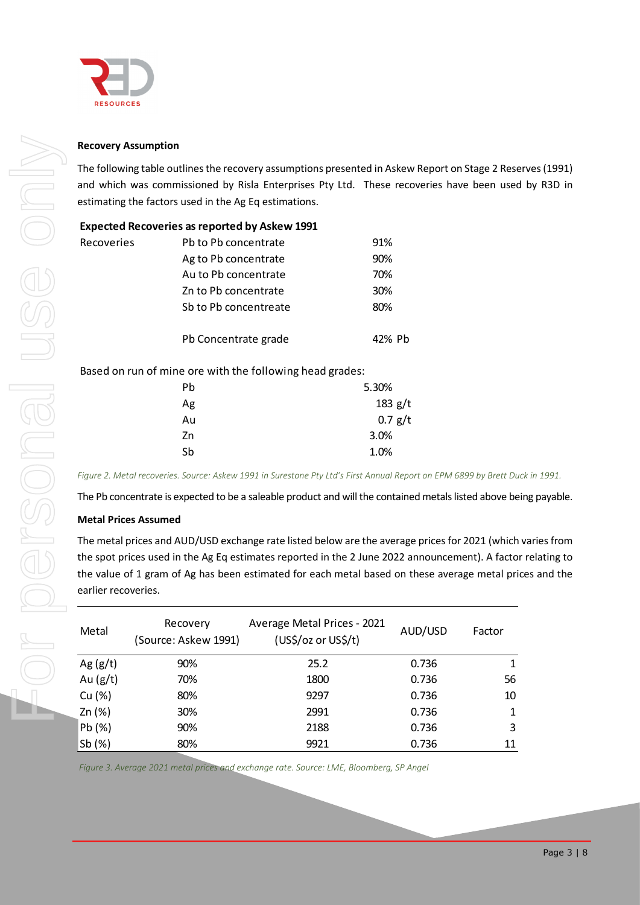

#### **Recovery Assumption**

The following table outlines the recovery assumptions presented in Askew Report on Stage 2 Reserves(1991) and which was commissioned by Risla Enterprises Pty Ltd. These recoveries have been used by R3D in estimating the factors used in the Ag Eq estimations.

|                   | <b>Expected Recoveries as reported by Askew 1991</b> |        |
|-------------------|------------------------------------------------------|--------|
| <b>Recoveries</b> | Pb to Pb concentrate                                 | 91%    |
|                   | Ag to Pb concentrate                                 | 90%    |
|                   | Au to Pb concentrate                                 | 70%    |
|                   | Zn to Pb concentrate                                 | 30%    |
|                   | Sb to Pb concentreate                                | 80%    |
|                   | Pb Concentrate grade                                 | 42% Ph |

| Pb | 5.30%     |
|----|-----------|
| Ag | $183$ g/t |
| Au | 0.7 g/t   |
| Zn | 3.0%      |
| Sb | 1.0%      |
|    |           |

*Figure 2. Metal recoveries. Source: Askew 1991 in Surestone Pty Ltd's First Annual Report on EPM 6899 by Brett Duck in 1991.*

The Pb concentrate is expected to be a saleable product and will the contained metals listed above being payable.

#### **Metal Prices Assumed**

The metal prices and AUD/USD exchange rate listed below are the average prices for 2021 (which varies from the spot prices used in the Ag Eq estimates reported in the 2 June 2022 announcement). A factor relating to the value of 1 gram of Ag has been estimated for each metal based on these average metal prices and the earlier recoveries.

| <b>Recovery Assumption</b>  |                                                                                                                   |                             |           |              |
|-----------------------------|-------------------------------------------------------------------------------------------------------------------|-----------------------------|-----------|--------------|
|                             | The following table outlines the recovery assumptions presented in Askew Report on Stage 2 Rese                   |                             |           |              |
|                             | and which was commissioned by Risla Enterprises Pty Ltd. These recoveries have been used                          |                             |           |              |
|                             | estimating the factors used in the Ag Eq estimations.                                                             |                             |           |              |
|                             | <b>Expected Recoveries as reported by Askew 1991</b>                                                              |                             |           |              |
| Recoveries                  | Pb to Pb concentrate                                                                                              |                             | 91%       |              |
|                             | Ag to Pb concentrate                                                                                              |                             | 90%       |              |
|                             | Au to Pb concentrate                                                                                              |                             | 70%       |              |
|                             | Zn to Pb concentrate                                                                                              |                             | 30%       |              |
|                             | Sb to Pb concentreate                                                                                             |                             | 80%       |              |
|                             | Pb Concentrate grade                                                                                              |                             | 42% Pb    |              |
|                             | Based on run of mine ore with the following head grades:                                                          |                             |           |              |
|                             | Pb                                                                                                                |                             | 5.30%     |              |
|                             | Ag                                                                                                                |                             | 183 $g/t$ |              |
|                             | Au                                                                                                                |                             | 0.7 g/t   |              |
|                             | Zn                                                                                                                |                             | 3.0%      |              |
|                             | Sb                                                                                                                |                             | 1.0%      |              |
|                             | Figure 2. Metal recoveries. Source: Askew 1991 in Surestone Pty Ltd's First Annual Report on EPM 6899 by Brett Du |                             |           |              |
|                             | The Pb concentrate is expected to be a saleable product and will the contained metals listed above be             |                             |           |              |
| <b>Metal Prices Assumed</b> |                                                                                                                   |                             |           |              |
|                             | The metal prices and AUD/USD exchange rate listed below are the average prices for 2021 (which                    |                             |           |              |
|                             | the spot prices used in the Ag Eq estimates reported in the 2 June 2022 announcement). A factor                   |                             |           |              |
|                             | the value of 1 gram of Ag has been estimated for each metal based on these average metal pri-                     |                             |           |              |
| earlier recoveries.         |                                                                                                                   |                             |           |              |
|                             | Recovery                                                                                                          | Average Metal Prices - 2021 |           |              |
| Metal                       | (Source: Askew 1991)                                                                                              | (US\$/oz or US\$/t)         | AUD/USD   | Factor       |
| Ag $(g/t)$                  | 90%                                                                                                               | 25.2                        | 0.736     | $\mathbf{1}$ |
| Au $(g/t)$                  | 70%                                                                                                               | 1800                        | 0.736     | 56           |
| Cu (%)                      | 80%                                                                                                               | 9297                        | 0.736     | $10\,$       |
| Zn (%)                      | 30%                                                                                                               | 2991                        | 0.736     | 1            |
| Pb (%)                      | 90%                                                                                                               | 2188                        | 0.736     | 3            |
| Sb(%)                       | 80%                                                                                                               | 9921                        | 0.736     | 11           |

*Figure 3. Average 2021 metal prices and exchange rate. Source: LME, Bloomberg, SP Angel*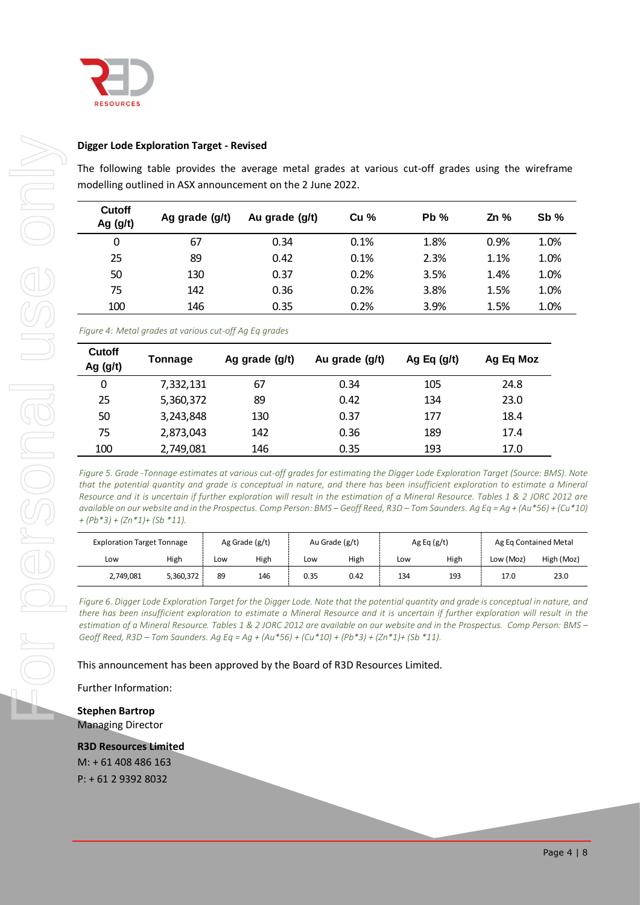

#### **Digger Lode Exploration Target - Revised**

| Cutoff<br>Ag (g/t)                                             | Ag grade (g/t)                                                                                                                                                                                                                                                                                                                                                                                        |     | Au grade (g/t) |      | Cu %           |     | Pb %          | Zn %      | Sb%                   |
|----------------------------------------------------------------|-------------------------------------------------------------------------------------------------------------------------------------------------------------------------------------------------------------------------------------------------------------------------------------------------------------------------------------------------------------------------------------------------------|-----|----------------|------|----------------|-----|---------------|-----------|-----------------------|
| 0                                                              | 67                                                                                                                                                                                                                                                                                                                                                                                                    |     | 0.34           |      | 0.1%           |     | 1.8%          | 0.9%      | 1.0%                  |
| 25                                                             | 89                                                                                                                                                                                                                                                                                                                                                                                                    |     | 0.42           |      | 0.1%           |     | 2.3%          | 1.1%      | 1.0%                  |
| 50                                                             | 130                                                                                                                                                                                                                                                                                                                                                                                                   |     | 0.37           |      | 0.2%           |     | 3.5%          | 1.4%      | 1.0%                  |
| 75                                                             | 142                                                                                                                                                                                                                                                                                                                                                                                                   |     | 0.36           |      | 0.2%           |     | 3.8%          | 1.5%      | 1.0%                  |
| 100                                                            | 146                                                                                                                                                                                                                                                                                                                                                                                                   |     | 0.35           |      | 0.2%           |     | 3.9%          | 1.5%      | 1.0%                  |
|                                                                | Figure 4: Metal grades at various cut-off Ag Eq grades                                                                                                                                                                                                                                                                                                                                                |     |                |      |                |     |               |           |                       |
| Cutoff<br>Ag $(g/t)$                                           | Tonnage                                                                                                                                                                                                                                                                                                                                                                                               |     | Ag grade (g/t) |      | Au grade (g/t) |     | Ag Eq $(g/t)$ | Ag Eq Moz |                       |
| 0                                                              | 7,332,131                                                                                                                                                                                                                                                                                                                                                                                             |     | 67             |      | 0.34           |     | 105           | 24.8      |                       |
| 25                                                             | 5,360,372                                                                                                                                                                                                                                                                                                                                                                                             |     | 89             |      | 0.42           |     | 134           | 23.0      |                       |
| 50                                                             | 3,243,848                                                                                                                                                                                                                                                                                                                                                                                             |     | 130            |      | 0.37           |     | 177           | 18.4      |                       |
| 75                                                             | 2,873,043                                                                                                                                                                                                                                                                                                                                                                                             | 142 |                |      | 0.36           |     | 189           | 17.4      |                       |
| 100                                                            | 2,749,081                                                                                                                                                                                                                                                                                                                                                                                             |     | 146            |      | 0.35           |     | 193           | 17.0      |                       |
| $+(Pb*3)+(Zn*1)+(Sb*11).$<br><b>Exploration Target Tonnage</b> | that the potential quantity and grade is conceptual in nature, and there has been insufficient exploration to estimate a Mine<br>Resource and it is uncertain if further exploration will result in the estimation of a Mineral Resource. Tables 1 & 2 JORC 2012 o<br>available on our website and in the Prospectus. Comp Person: BMS – Geoff Reed, R3D – Tom Saunders. Ag Eq = Ag + (Au*56) + (Cu*: |     | Ag Grade (g/t) |      | Au Grade (g/t) |     | Ag Eq $(g/t)$ |           | Ag Eq Contained Metal |
| Low                                                            | High                                                                                                                                                                                                                                                                                                                                                                                                  | Low | High           | Low  | High           | Low | High          | Low (Moz) | High (Moz             |
| 2,749,081                                                      | 5,360,372                                                                                                                                                                                                                                                                                                                                                                                             | 89  | 146            | 0.35 | 0.42           | 134 | 193           | 17.0      | 23.0                  |

| <b>Cutoff</b><br>Ag $(g/t)$ | Tonnage   | Ag grade (g/t) | Au grade (g/t) | Ag Eq $(g/t)$ | Ag Eq Moz |
|-----------------------------|-----------|----------------|----------------|---------------|-----------|
| 0                           | 7,332,131 | 67             | 0.34           | 105           | 24.8      |
| 25                          | 5,360,372 | 89             | 0.42           | 134           | 23.0      |
| 50                          | 3,243,848 | 130            | 0.37           | 177           | 18.4      |
| 75                          | 2,873,043 | 142            | 0.36           | 189           | 17.4      |
| 100                         | 2,749,081 | 146            | 0.35           | 193           | 17.0      |

| <b>Exploration Target Tonnage</b> |           | Ag Grade (g/t) |      | Au Grade (g/t) |      | Ag Eq $(g/t)$ |      | Ag Eq Contained Metal |            |
|-----------------------------------|-----------|----------------|------|----------------|------|---------------|------|-----------------------|------------|
| Low                               | High      | Low            | High | Low            | High | Low           | High | Low (Moz)             | High (Moz) |
| 2,749,081                         | 5,360,372 | 89             | 146  | 0.35           | 0.42 | 134           | 193  | 17.0                  | 23.0       |

**Stephen Bartrop** Managing Director

**R3D Resources Limited**

M: + 61 408 486 163 P: + 61 2 9392 8032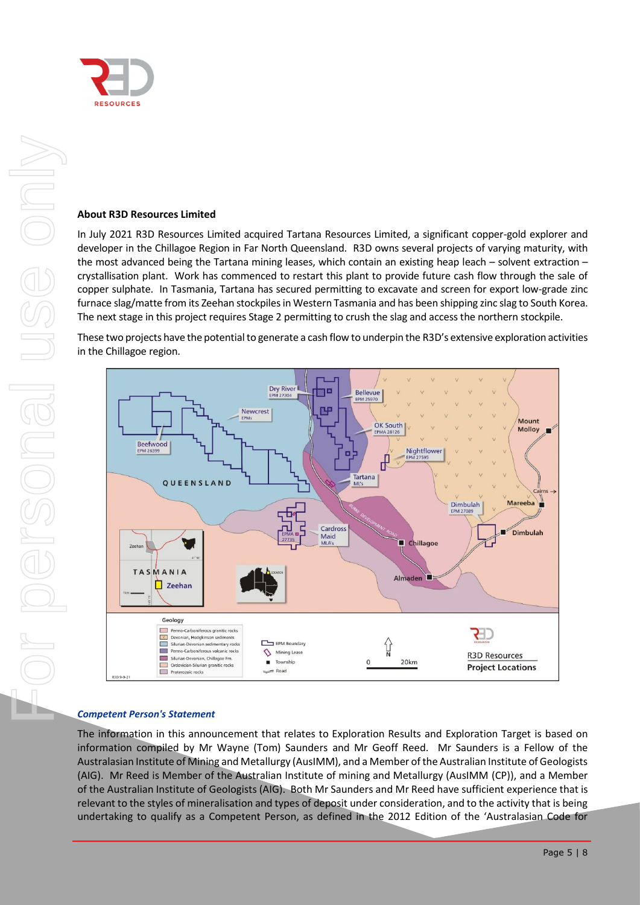

#### **About R3D Resources Limited**

In July 2021 R3D Resources Limited acquired Tartana Resources Limited, a significant copper-gold explorer and developer in the Chillagoe Region in Far North Queensland. R3D owns several projects of varying maturity, with the most advanced being the Tartana mining leases, which contain an existing heap leach – solvent extraction – crystallisation plant. Work has commenced to restart this plant to provide future cash flow through the sale of copper sulphate. In Tasmania, Tartana has secured permitting to excavate and screen for export low-grade zinc furnace slag/matte from its Zeehan stockpiles in Western Tasmania and has been shipping zinc slag to South Korea. The next stage in this project requires Stage 2 permitting to crush the slag and access the northern stockpile.

These two projects have the potential to generate a cash flow to underpin the R3D's extensive exploration activities in the Chillagoe region.



#### *Competent Person's Statement*

The information in this announcement that relates to Exploration Results and Exploration Target is based on information compiled by Mr Wayne (Tom) Saunders and Mr Geoff Reed. Mr Saunders is a Fellow of the Australasian Institute of Mining and Metallurgy (AusIMM), and a Member of the Australian Institute of Geologists (AIG). Mr Reed is Member of the Australian Institute of mining and Metallurgy (AusIMM (CP)), and a Member of the Australian Institute of Geologists (AIG). Both Mr Saunders and Mr Reed have sufficient experience that is relevant to the styles of mineralisation and types of deposit under consideration, and to the activity that is being undertaking to qualify as a Competent Person, as defined in the 2012 Edition of the 'Australasian Code for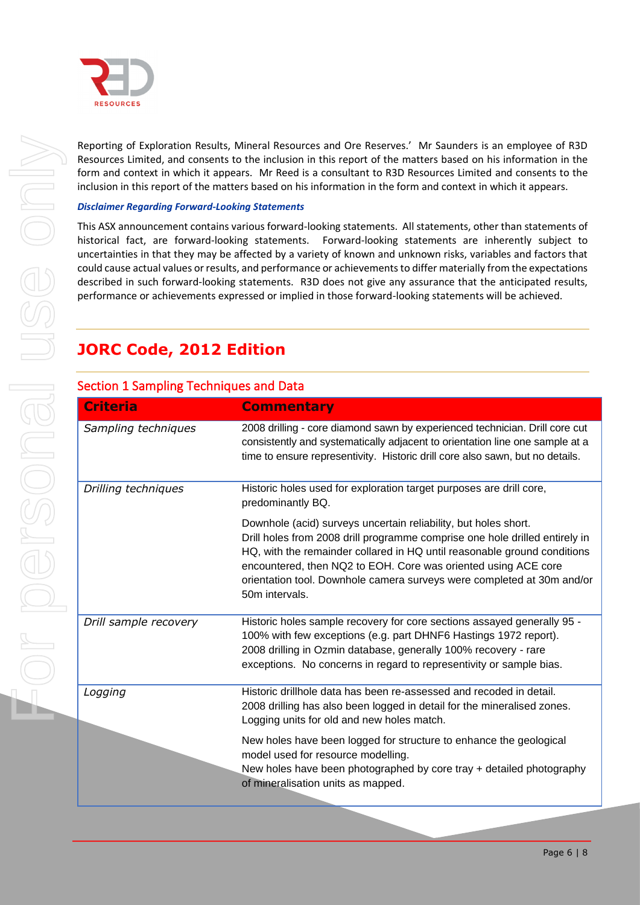

Reporting of Exploration Results, Mineral Resources and Ore Reserves.' Mr Saunders is an employee of R3D Resources Limited, and consents to the inclusion in this report of the matters based on his information in the form and context in which it appears. Mr Reed is a consultant to R3D Resources Limited and consents to the inclusion in this report of the matters based on his information in the form and context in which it appears.

#### *Disclaimer Regarding Forward-Looking Statements*

This ASX announcement contains various forward-looking statements. All statements, other than statements of historical fact, are forward-looking statements. Forward-looking statements are inherently subject to uncertainties in that they may be affected by a variety of known and unknown risks, variables and factors that could cause actual values or results, and performance or achievements to differ materially from the expectations described in such forward-looking statements. R3D does not give any assurance that the anticipated results, performance or achievements expressed or implied in those forward-looking statements will be achieved.

# **JORC Code, 2012 Edition**

| <b>Criteria</b>       | <b>Commentary</b>                                                                                                                                                                                                                                                                                                                                                                        |
|-----------------------|------------------------------------------------------------------------------------------------------------------------------------------------------------------------------------------------------------------------------------------------------------------------------------------------------------------------------------------------------------------------------------------|
| Sampling techniques   | 2008 drilling - core diamond sawn by experienced technician. Drill core cut<br>consistently and systematically adjacent to orientation line one sample at a<br>time to ensure representivity. Historic drill core also sawn, but no details.                                                                                                                                             |
| Drilling techniques   | Historic holes used for exploration target purposes are drill core,<br>predominantly BQ.                                                                                                                                                                                                                                                                                                 |
|                       | Downhole (acid) surveys uncertain reliability, but holes short.<br>Drill holes from 2008 drill programme comprise one hole drilled entirely in<br>HQ, with the remainder collared in HQ until reasonable ground conditions<br>encountered, then NQ2 to EOH. Core was oriented using ACE core<br>orientation tool. Downhole camera surveys were completed at 30m and/or<br>50m intervals. |
| Drill sample recovery | Historic holes sample recovery for core sections assayed generally 95 -<br>100% with few exceptions (e.g. part DHNF6 Hastings 1972 report).<br>2008 drilling in Ozmin database, generally 100% recovery - rare<br>exceptions. No concerns in regard to representivity or sample bias.                                                                                                    |
| Logging               | Historic drillhole data has been re-assessed and recoded in detail.<br>2008 drilling has also been logged in detail for the mineralised zones.<br>Logging units for old and new holes match.                                                                                                                                                                                             |
|                       | New holes have been logged for structure to enhance the geological<br>model used for resource modelling.<br>New holes have been photographed by core tray + detailed photography<br>of mineralisation units as mapped.                                                                                                                                                                   |

### Section 1 Sampling Techniques and Data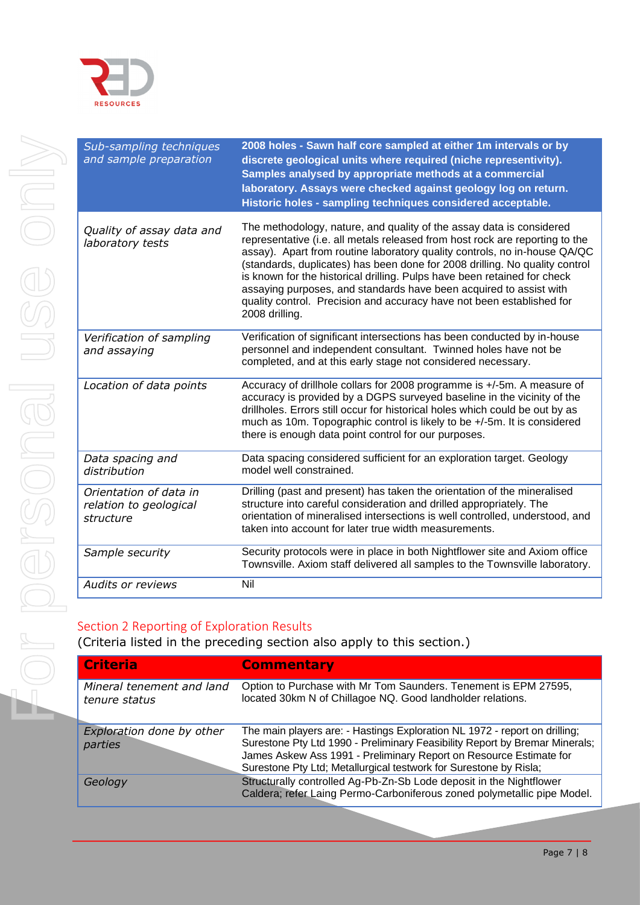

| Sub-sampling techniques<br>and sample preparation             |
|---------------------------------------------------------------|
| Quality of assay data and<br>laboratory tests                 |
|                                                               |
| Verification of sampling<br>and assaying                      |
| Location of data points                                       |
| Data spacing and<br>distribution                              |
| Orientation of data in<br>relation to geological<br>structure |
| Sample security                                               |
| <b>Audits or reviews</b>                                      |
| Section 2 Reporting of Ex<br>(Criteria listed in the pr       |
| <b>Criteria</b>                                               |
| Mineral tenement and la.<br>tenure status                     |

| Sub-sampling techniques<br>and sample preparation             | 2008 holes - Sawn half core sampled at either 1m intervals or by<br>discrete geological units where required (niche representivity).<br>Samples analysed by appropriate methods at a commercial<br>laboratory. Assays were checked against geology log on return.<br>Historic holes - sampling techniques considered acceptable.                                                                                                                                                                                                                              |
|---------------------------------------------------------------|---------------------------------------------------------------------------------------------------------------------------------------------------------------------------------------------------------------------------------------------------------------------------------------------------------------------------------------------------------------------------------------------------------------------------------------------------------------------------------------------------------------------------------------------------------------|
| Quality of assay data and<br>laboratory tests                 | The methodology, nature, and quality of the assay data is considered<br>representative (i.e. all metals released from host rock are reporting to the<br>assay). Apart from routine laboratory quality controls, no in-house QA/QC<br>(standards, duplicates) has been done for 2008 drilling. No quality control<br>is known for the historical drilling. Pulps have been retained for check<br>assaying purposes, and standards have been acquired to assist with<br>quality control. Precision and accuracy have not been established for<br>2008 drilling. |
| Verification of sampling<br>and assaying                      | Verification of significant intersections has been conducted by in-house<br>personnel and independent consultant. Twinned holes have not be<br>completed, and at this early stage not considered necessary.                                                                                                                                                                                                                                                                                                                                                   |
| Location of data points                                       | Accuracy of drillhole collars for 2008 programme is +/-5m. A measure of<br>accuracy is provided by a DGPS surveyed baseline in the vicinity of the<br>drillholes. Errors still occur for historical holes which could be out by as<br>much as 10m. Topographic control is likely to be +/-5m. It is considered<br>there is enough data point control for our purposes.                                                                                                                                                                                        |
| Data spacing and<br>distribution                              | Data spacing considered sufficient for an exploration target. Geology<br>model well constrained.                                                                                                                                                                                                                                                                                                                                                                                                                                                              |
| Orientation of data in<br>relation to geological<br>structure | Drilling (past and present) has taken the orientation of the mineralised<br>structure into careful consideration and drilled appropriately. The<br>orientation of mineralised intersections is well controlled, understood, and<br>taken into account for later true width measurements.                                                                                                                                                                                                                                                                      |
| Sample security                                               | Security protocols were in place in both Nightflower site and Axiom office<br>Townsville. Axiom staff delivered all samples to the Townsville laboratory.                                                                                                                                                                                                                                                                                                                                                                                                     |
| <b>Audits or reviews</b>                                      | Nil                                                                                                                                                                                                                                                                                                                                                                                                                                                                                                                                                           |
|                                                               |                                                                                                                                                                                                                                                                                                                                                                                                                                                                                                                                                               |

### ploration Results

 $\overline{\mathbf{r}}$  eceding section also apply to this section.)

| <b>Criteria</b>                            | <b>Commentary</b>                                                                                                                                                                                                                                                                                    |
|--------------------------------------------|------------------------------------------------------------------------------------------------------------------------------------------------------------------------------------------------------------------------------------------------------------------------------------------------------|
| Mineral tenement and land<br>tenure status | Option to Purchase with Mr Tom Saunders. Tenement is EPM 27595,<br>located 30km N of Chillagoe NQ. Good landholder relations.                                                                                                                                                                        |
| Exploration done by other<br>parties       | The main players are: - Hastings Exploration NL 1972 - report on drilling;<br>Surestone Pty Ltd 1990 - Preliminary Feasibility Report by Bremar Minerals;<br>James Askew Ass 1991 - Preliminary Report on Resource Estimate for<br>Surestone Pty Ltd; Metallurgical testwork for Surestone by Risla; |
| Geology                                    | Structurally controlled Ag-Pb-Zn-Sb Lode deposit in the Nightflower<br>Caldera; refer Laing Permo-Carboniferous zoned polymetallic pipe Model.                                                                                                                                                       |